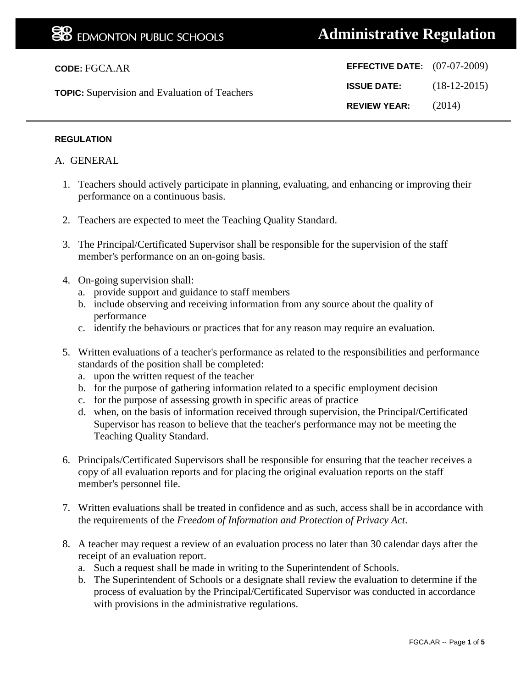# **Administrative Regulation**

| <b>CODE: FGCA.AR</b>                                 | <b>EFFECTIVE DATE:</b> $(07-07-2009)$ |                |
|------------------------------------------------------|---------------------------------------|----------------|
| <b>TOPIC:</b> Supervision and Evaluation of Teachers | <b>ISSUE DATE:</b>                    | $(18-12-2015)$ |
|                                                      | <b>REVIEW YEAR:</b>                   | (2014)         |

#### **REGULATION**

A. GENERAL

- 1. Teachers should actively participate in planning, evaluating, and enhancing or improving their performance on a continuous basis.
- 2. Teachers are expected to meet the Teaching Quality Standard.
- 3. The Principal/Certificated Supervisor shall be responsible for the supervision of the staff member's performance on an on-going basis.
- 4. On-going supervision shall:
	- a. provide support and guidance to staff members
	- b. include observing and receiving information from any source about the quality of performance
	- c. identify the behaviours or practices that for any reason may require an evaluation.
- 5. Written evaluations of a teacher's performance as related to the responsibilities and performance standards of the position shall be completed:
	- a. upon the written request of the teacher
	- b. for the purpose of gathering information related to a specific employment decision
	- c. for the purpose of assessing growth in specific areas of practice
	- d. when, on the basis of information received through supervision, the Principal/Certificated Supervisor has reason to believe that the teacher's performance may not be meeting the Teaching Quality Standard.
- 6. Principals/Certificated Supervisors shall be responsible for ensuring that the teacher receives a copy of all evaluation reports and for placing the original evaluation reports on the staff member's personnel file.
- 7. Written evaluations shall be treated in confidence and as such, access shall be in accordance with the requirements of the *Freedom of Information and Protection of Privacy Act*.
- 8. A teacher may request a review of an evaluation process no later than 30 calendar days after the receipt of an evaluation report.
	- a. Such a request shall be made in writing to the Superintendent of Schools.
	- b. The Superintendent of Schools or a designate shall review the evaluation to determine if the process of evaluation by the Principal/Certificated Supervisor was conducted in accordance with provisions in the administrative regulations.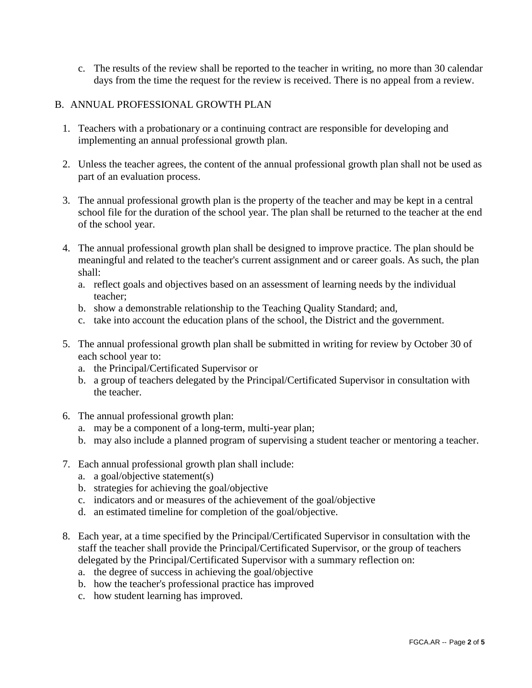c. The results of the review shall be reported to the teacher in writing, no more than 30 calendar days from the time the request for the review is received. There is no appeal from a review.

### B. ANNUAL PROFESSIONAL GROWTH PLAN

- 1. Teachers with a probationary or a continuing contract are responsible for developing and implementing an annual professional growth plan.
- 2. Unless the teacher agrees, the content of the annual professional growth plan shall not be used as part of an evaluation process.
- 3. The annual professional growth plan is the property of the teacher and may be kept in a central school file for the duration of the school year. The plan shall be returned to the teacher at the end of the school year.
- 4. The annual professional growth plan shall be designed to improve practice. The plan should be meaningful and related to the teacher's current assignment and or career goals. As such, the plan shall:
	- a. reflect goals and objectives based on an assessment of learning needs by the individual teacher;
	- b. show a demonstrable relationship to the Teaching Quality Standard; and,
	- c. take into account the education plans of the school, the District and the government.
- 5. The annual professional growth plan shall be submitted in writing for review by October 30 of each school year to:
	- a. the Principal/Certificated Supervisor or
	- b. a group of teachers delegated by the Principal/Certificated Supervisor in consultation with the teacher.
- 6. The annual professional growth plan:
	- a. may be a component of a long-term, multi-year plan;
	- b. may also include a planned program of supervising a student teacher or mentoring a teacher.
- 7. Each annual professional growth plan shall include:
	- a. a goal/objective statement(s)
	- b. strategies for achieving the goal/objective
	- c. indicators and or measures of the achievement of the goal/objective
	- d. an estimated timeline for completion of the goal/objective.
- 8. Each year, at a time specified by the Principal/Certificated Supervisor in consultation with the staff the teacher shall provide the Principal/Certificated Supervisor, or the group of teachers delegated by the Principal/Certificated Supervisor with a summary reflection on:
	- a. the degree of success in achieving the goal/objective
	- b. how the teacher's professional practice has improved
	- c. how student learning has improved.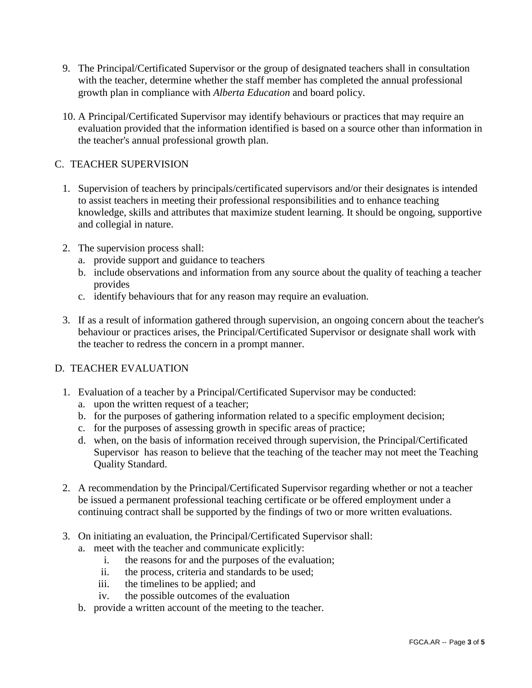- 9. The Principal/Certificated Supervisor or the group of designated teachers shall in consultation with the teacher, determine whether the staff member has completed the annual professional growth plan in compliance with *Alberta Education* and board policy.
- 10. A Principal/Certificated Supervisor may identify behaviours or practices that may require an evaluation provided that the information identified is based on a source other than information in the teacher's annual professional growth plan.

## C. TEACHER SUPERVISION

- 1. Supervision of teachers by principals/certificated supervisors and/or their designates is intended to assist teachers in meeting their professional responsibilities and to enhance teaching knowledge, skills and attributes that maximize student learning. It should be ongoing, supportive and collegial in nature.
- 2. The supervision process shall:
	- a. provide support and guidance to teachers
	- b. include observations and information from any source about the quality of teaching a teacher provides
	- c. identify behaviours that for any reason may require an evaluation.
- 3. If as a result of information gathered through supervision, an ongoing concern about the teacher's behaviour or practices arises, the Principal/Certificated Supervisor or designate shall work with the teacher to redress the concern in a prompt manner.

## D. TEACHER EVALUATION

- 1. Evaluation of a teacher by a Principal/Certificated Supervisor may be conducted:
	- a. upon the written request of a teacher;
	- b. for the purposes of gathering information related to a specific employment decision;
	- c. for the purposes of assessing growth in specific areas of practice;
	- d. when, on the basis of information received through supervision, the Principal/Certificated Supervisor has reason to believe that the teaching of the teacher may not meet the Teaching Quality Standard.
- 2. A recommendation by the Principal/Certificated Supervisor regarding whether or not a teacher be issued a permanent professional teaching certificate or be offered employment under a continuing contract shall be supported by the findings of two or more written evaluations.
- 3. On initiating an evaluation, the Principal/Certificated Supervisor shall:
	- a. meet with the teacher and communicate explicitly:
		- i. the reasons for and the purposes of the evaluation;
		- ii. the process, criteria and standards to be used;
		- iii. the timelines to be applied; and
		- iv. the possible outcomes of the evaluation
	- b. provide a written account of the meeting to the teacher.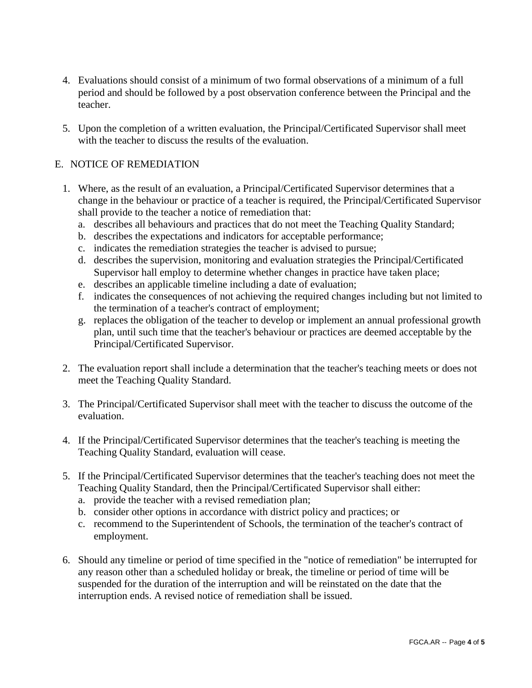- 4. Evaluations should consist of a minimum of two formal observations of a minimum of a full period and should be followed by a post observation conference between the Principal and the teacher.
- 5. Upon the completion of a written evaluation, the Principal/Certificated Supervisor shall meet with the teacher to discuss the results of the evaluation.

## E. NOTICE OF REMEDIATION

- 1. Where, as the result of an evaluation, a Principal/Certificated Supervisor determines that a change in the behaviour or practice of a teacher is required, the Principal/Certificated Supervisor shall provide to the teacher a notice of remediation that:
	- a. describes all behaviours and practices that do not meet the Teaching Quality Standard;
	- b. describes the expectations and indicators for acceptable performance;
	- c. indicates the remediation strategies the teacher is advised to pursue;
	- d. describes the supervision, monitoring and evaluation strategies the Principal/Certificated Supervisor hall employ to determine whether changes in practice have taken place;
	- e. describes an applicable timeline including a date of evaluation;
	- f. indicates the consequences of not achieving the required changes including but not limited to the termination of a teacher's contract of employment;
	- g. replaces the obligation of the teacher to develop or implement an annual professional growth plan, until such time that the teacher's behaviour or practices are deemed acceptable by the Principal/Certificated Supervisor.
- 2. The evaluation report shall include a determination that the teacher's teaching meets or does not meet the Teaching Quality Standard.
- 3. The Principal/Certificated Supervisor shall meet with the teacher to discuss the outcome of the evaluation.
- 4. If the Principal/Certificated Supervisor determines that the teacher's teaching is meeting the Teaching Quality Standard, evaluation will cease.
- 5. If the Principal/Certificated Supervisor determines that the teacher's teaching does not meet the Teaching Quality Standard, then the Principal/Certificated Supervisor shall either:
	- a. provide the teacher with a revised remediation plan;
	- b. consider other options in accordance with district policy and practices; or
	- c. recommend to the Superintendent of Schools, the termination of the teacher's contract of employment.
- 6. Should any timeline or period of time specified in the "notice of remediation" be interrupted for any reason other than a scheduled holiday or break, the timeline or period of time will be suspended for the duration of the interruption and will be reinstated on the date that the interruption ends. A revised notice of remediation shall be issued.